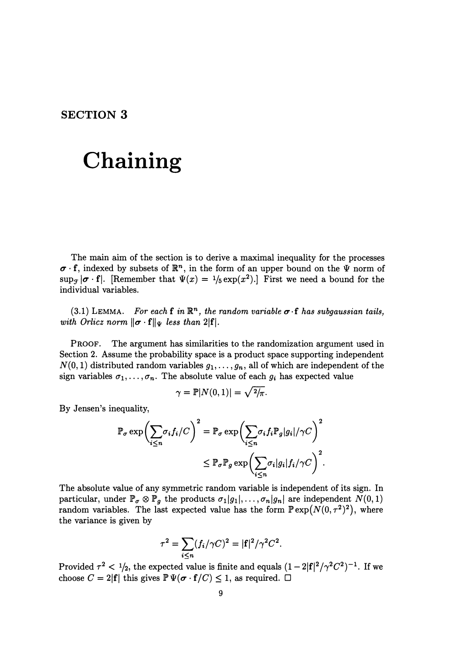## **SECTION 3**

## **Chaining**

The main aim of the section is to derive a maximal inequality for the processes  $\sigma \cdot f$ , indexed by subsets of  $\mathbb{R}^n$ , in the form of an upper bound on the  $\Psi$  norm of  $\sup_{\mathcal{F}} |\boldsymbol{\sigma} \cdot \mathbf{f}|$ . [Remember that  $\Psi(x) = \frac{1}{5} \exp(x^2)$ .] First we need a bound for the individual variables.

 $(3.1)$  LEMMA. *For each* **f** in  $\mathbb{R}^n$ , the random variable  $\sigma$  **f** has subgaussian tails, *with Orlicz norm*  $\|\boldsymbol{\sigma} \cdot \mathbf{f}\|_{\Psi}$  *less than 2* $|\mathbf{f}|$ *.* 

PROOF. The argument has similarities to the randomization argument used in Section 2. Assume the probability space is a product space supporting independent  $N(0, 1)$  distributed random variables  $g_1, \ldots, g_n$ , all of which are independent of the sign variables  $\sigma_1, \ldots, \sigma_n$ . The absolute value of each  $g_i$  has expected value

$$
\gamma = \mathbb{P}|N(0,1)| = \sqrt{2/\pi}.
$$

By Jensen's inequality,

$$
\mathbb{P}_{\sigma} \exp \left( \sum_{i \leq n} \sigma_i f_i / C \right)^2 = \mathbb{P}_{\sigma} \exp \left( \sum_{i \leq n} \sigma_i f_i \mathbb{P}_g |g_i| / \gamma C \right)^2
$$

$$
\leq \mathbb{P}_{\sigma} \mathbb{P}_g \exp \left( \sum_{i \leq n} \sigma_i |g_i| f_i / \gamma C \right)^2.
$$

The absolute value of any symmetric random variable is independent of its sign. In particular, under  $\mathbb{P}_{\sigma} \otimes \mathbb{P}_{g}$  the products  $\sigma_1|g_1|, \ldots, \sigma_n|g_n|$  are independent  $N(0, 1)$ random variables. The last expected value has the form  $\mathbb{P}\exp(N(0, \tau^2)^2)$ , where the variance is given by

$$
\tau^2 = \sum_{i \le n} (f_i/\gamma C)^2 = |\mathbf{f}|^2/\gamma^2 C^2.
$$

Provided  $\tau^2$  <  $\frac{1}{2}$ , the expected value is finite and equals  $(1-2|\mathbf{f}|^2/\gamma^2C^2)^{-1}$ . If we choose  $C = 2|\mathbf{f}|$  this gives  $\mathbb{P}\Psi(\sigma \cdot \mathbf{f}/C) \leq 1$ , as required.  $\Box$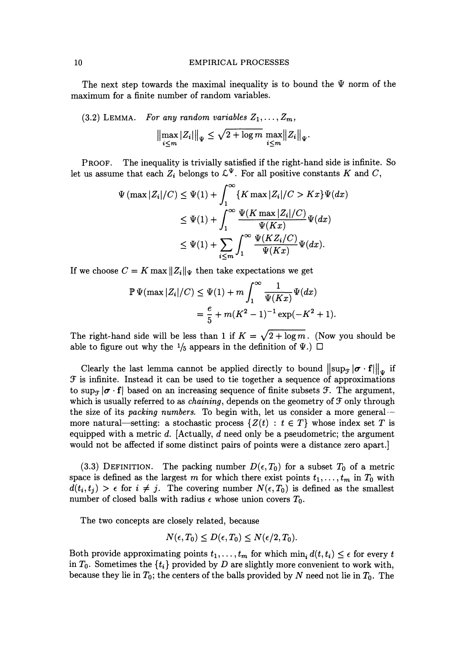The next step towards the maximal inequality is to bound the *W* norm of the maximum for a finite number of random variables.

(3.2) LEMMA. For any random variables 
$$
Z_1, ..., Z_m
$$
,  
\n
$$
\left\|\max_{i \leq m} |Z_i|\right\|_{\Psi} \leq \sqrt{2 + \log m} \max_{i \leq m} \|Z_i\|_{\Psi}.
$$

PROOF. The inequality is trivially satisfied if the right-hand side is infinite. So let us assume that each  $Z_i$  belongs to  $\mathcal{L}^{\Psi}$ . For all positive constants *K* and *C*,

$$
\Psi\left(\max|Z_i|/C\right) \leq \Psi(1) + \int_1^\infty \{K \max|Z_i|/C > Kx\} \Psi(dx)
$$
  
\n
$$
\leq \Psi(1) + \int_1^\infty \frac{\Psi(K \max|Z_i|/C)}{\Psi(Kx)} \Psi(dx)
$$
  
\n
$$
\leq \Psi(1) + \sum_{i \leq m} \int_1^\infty \frac{\Psi(KZ_i/C)}{\Psi(Kx)} \Psi(dx).
$$

If we choose  $C = K \max ||Z_i||_{\Psi}$  then take expectations we get

$$
\mathbb{P}\,\Psi(\max|Z_i|/C) \leq \Psi(1) + m \int_1^{\infty} \frac{1}{\Psi(Kx)} \Psi(dx)
$$
  
=  $\frac{e}{5} + m(K^2 - 1)^{-1} \exp(-K^2 + 1).$ 

The right-hand side will be less than 1 if  $K = \sqrt{2 + \log m}$ . (Now you should be able to figure out why the  $\frac{1}{5}$  appears in the definition of  $\Psi$ .)  $\Box$ 

Clearly the last lemma cannot be applied directly to bound  $\|\sup_{\mathcal{F}}|\sigma \cdot \mathbf{f}\|_{w}$  if  $\mathcal F$  is infinite. Instead it can be used to tie together a sequence of approximations to sup<sub> $\tau$ </sub>  $\sigma \cdot f$  based on an increasing sequence of finite subsets  $\mathcal{F}$ . The argument, which is usually referred to as *chaining*, depends on the geometry of  $\mathcal F$  only through the size of its *packing numbers.* To begin with, let us consider a more general-- more natural—setting: a stochastic process  $\{Z(t): t \in T\}$  whose index set T is equipped with a metric d. [Actually, d need only be a pseudometric; the argument would not be affected if some distinct pairs of points were a distance zero apart.]

(3.3) DEFINITION. The packing number  $D(\epsilon, T_0)$  for a subset  $T_0$  of a metric space is defined as the largest *m* for which there exist points  $t_1, \ldots, t_m$  in  $T_0$  with  $d(t_i, t_j) > \epsilon$  for  $i \neq j$ . The covering number  $N(\epsilon, T_0)$  is defined as the smallest number of closed balls with radius  $\epsilon$  whose union covers  $T_0$ .

The two concepts are closely related, because

$$
N(\epsilon, T_0) \le D(\epsilon, T_0) \le N(\epsilon/2, T_0).
$$

Both provide approximating points  $t_1, \ldots, t_m$  for which  $\min_i d(t, t_i) \leq \epsilon$  for every *t* in  $T_0$ . Sometimes the  $\{t_i\}$  provided by *D* are slightly more convenient to work with, because they lie in  $T_0$ ; the centers of the balls provided by N need not lie in  $T_0$ . The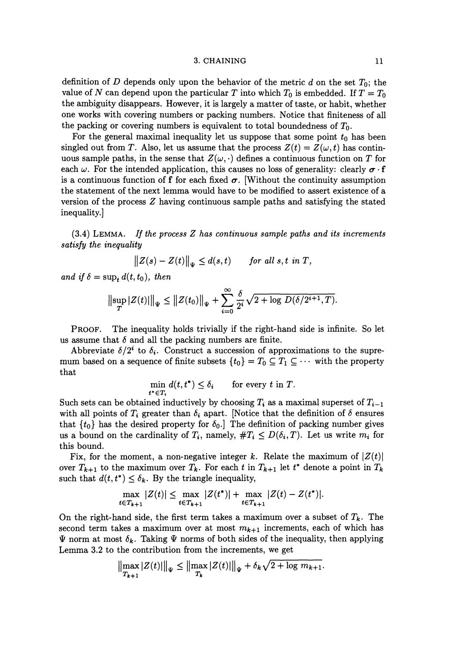## 3. CHAINING 11

definition of *D* depends only upon the behavior of the metric *d* on the set *To;* the value of N can depend upon the particular T into which  $T_0$  is embedded. If  $T = T_0$ the ambiguity disappears. However, it is largely a matter of taste, or habit, whether one works with covering numbers or packing numbers. Notice that finiteness of all the packing or covering numbers is equivalent to total boundedness of  $T_0$ .

For the general maximal inequality let us suppose that some point  $t_0$  has been singled out from *T*. Also, let us assume that the process  $Z(t) = Z(\omega, t)$  has continuous sample paths, in the sense that  $Z(\omega, \cdot)$  defines a continuous function on T for each  $\omega$ . For the intended application, this causes no loss of generality: clearly  $\sigma \cdot f$ is a continuous function of f for each fixed  $\sigma$ . [Without the continuity assumption the statement of the next lemma would have to be modified to assert existence of a version of the process  $Z$  having continuous sample paths and satisfying the stated inequality.]

(3.4) LEMMA. *If the process Z has continuous sample paths and its increments satisfy the inequality* 

$$
||Z(s) - Z(t)||_{\Psi} \leq d(s,t) \quad \text{for all } s, t \text{ in } T,
$$

and if  $\delta = \sup_t d(t, t_0)$ , then

$$
\big\|\sup_T|Z(t)|\big\|_{\Psi}\leq\big\|Z(t_0)\big\|_{\Psi}+\sum_{i=0}^{\infty}\frac{\delta}{2^i}\sqrt{2+\log D(\delta/2^{i+1},T)}.
$$

PROOF. The inequality holds trivially if the right-hand side is infinite. So let us assume that  $\delta$  and all the packing numbers are finite.

Abbreviate  $\delta/2^i$  to  $\delta_i$ . Construct a succession of approximations to the supremum based on a sequence of finite subsets  $\{t_0\} = T_0 \subseteq T_1 \subseteq \cdots$  with the property that

$$
\min_{t^* \in T_i} d(t, t^*) \le \delta_i \quad \text{for every } t \text{ in } T.
$$

Such sets can be obtained inductively by choosing  $T_i$  as a maximal superset of  $T_{i-1}$ with all points of  $T_i$  greater than  $\delta_i$  apart. [Notice that the definition of  $\delta$  ensures that  $\{t_0\}$  has the desired property for  $\delta_0$ . The definition of packing number gives us a bound on the cardinality of  $T_i$ , namely,  $\#T_i \leq D(\delta_i, T)$ . Let us write  $m_i$  for this bound.

Fix, for the moment, a non-negative integer k. Relate the maximum of  $|Z(t)|$ over  $T_{k+1}$  to the maximum over  $T_k$ . For each t in  $T_{k+1}$  let t<sup>\*</sup> denote a point in  $T_k$ such that  $d(t, t^*) \leq \delta_k$ . By the triangle inequality,

$$
\max_{t \in T_{k+1}} |Z(t)| \leq \max_{t \in T_{k+1}} |Z(t^*)| + \max_{t \in T_{k+1}} |Z(t) - Z(t^*)|.
$$

On the right-hand side, the first term takes a maximum over a subset of  $T_k$ . The second term takes a maximum over at most  $m_{k+1}$  increments, each of which has  $\Psi$  norm at most  $\delta_k$ . Taking  $\Psi$  norms of both sides of the inequality, then applying Lemma 3.2 to the contribution from the increments, we get

$$
\left\|\max_{T_{k+1}} |Z(t)|\right\|_{\Psi} \le \left\|\max_{T_k} |Z(t)|\right\|_{\Psi} + \delta_k \sqrt{2 + \log m_{k+1}}.
$$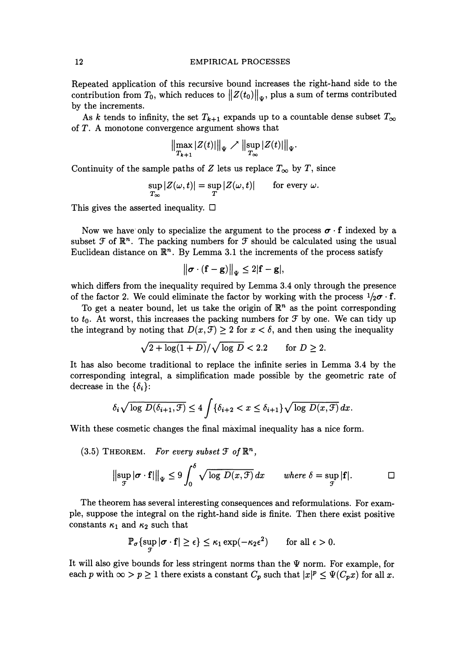Repeated application of this recursive bound increases the right-hand side to the contribution from  $T_0$ , which reduces to  $||Z(t_0)||_w$ , plus a sum of terms contributed by the increments.

As *k* tends to infinity, the set  $T_{k+1}$  expands up to a countable dense subset  $T_{\infty}$ of  $T$ . A monotone convergence argument shows that

$$
\left\|\max_{T_{k+1}} |Z(t)|\right\|_{\Psi} \nearrow \left\|\sup_{T_{\infty}} |Z(t)|\right\|_{\Psi}.
$$

Continuity of the sample paths of *Z* lets us replace  $T_{\infty}$  by *T*, since

$$
\sup_{T_{\infty}}|Z(\omega,t)|=\sup_{T}|Z(\omega,t)|\qquad\text{for every }\omega.
$$

This gives the asserted inequality.  $\Box$ 

Now we have only to specialize the argument to the process  $\sigma \cdot f$  indexed by a subset  $\mathcal F$  of  $\mathbb{R}^n$ . The packing numbers for  $\mathcal F$  should be calculated using the usual Euclidean distance on  $\mathbb{R}^n$ . By Lemma 3.1 the increments of the process satisfy

$$
\big\|\sigma\cdot(\mathbf{f}-\mathbf{g})\big\|_\Psi\leq 2|\mathbf{f}-\mathbf{g}|,
$$

which differs from the inequality required by Lemma 3.4 only through the presence of the factor 2. We could eliminate the factor by working with the process  $1/2\sigma \cdot f$ .

To get a neater bound, let us take the origin of  $\mathbb{R}^n$  as the point corresponding to  $t_0$ . At worst, this increases the packing numbers for  $\mathcal F$  by one. We can tidy up the integrand by noting that  $D(x, \mathcal{F}) \geq 2$  for  $x < \delta$ , and then using the inequality

$$
\sqrt{2 + \log(1 + D)} / \sqrt{\log D} < 2.2 \qquad \text{for } D \ge 2.
$$

It has also become traditional to replace the infinite series in Lemma 3.4 by the corresponding integral, a simplification made possible by the geometric rate of decrease in the  $\{\delta_i\}$ :

$$
\delta_i \sqrt{\log\,D(\delta_{i+1},\mathcal{F})} \leq 4\int \{\delta_{i+2} < x \leq \delta_{i+1}\}\sqrt{\log\,D(x,\mathcal{F})}\,dx.
$$

With these cosmetic changes the final maximal inequality has a nice form.

(3.5) THEOREM. For every subset 
$$
\mathcal{F}
$$
 of  $\mathbb{R}^n$ ,  
\n
$$
\|\sup_{\mathcal{F}} |\sigma \cdot \mathbf{f}| \|\Psi_{\Psi} \leq 9 \int_0^{\delta} \sqrt{\log D(x, \mathcal{F})} dx \quad \text{where } \delta = \sup_{\mathcal{F}} |\mathbf{f}|.
$$

The theorem has several interesting consequences and reformulations. For example, suppose the integral on the right-hand side is finite. Then there exist positive constants  $\kappa_1$  and  $\kappa_2$  such that

$$
\mathbb{P}_{\sigma}\{\sup_{\mathcal{T}}|\sigma\cdot\mathbf{f}|\geq\epsilon\}\leq\kappa_1\exp(-\kappa_2\epsilon^2)\qquad\text{for all }\epsilon>0.
$$

It will also give bounds for less stringent norms than the  $\Psi$  norm. For example, for each p with  $\infty > p \ge 1$  there exists a constant  $C_p$  such that  $|x|^p \le \Psi(C_p x)$  for all x.